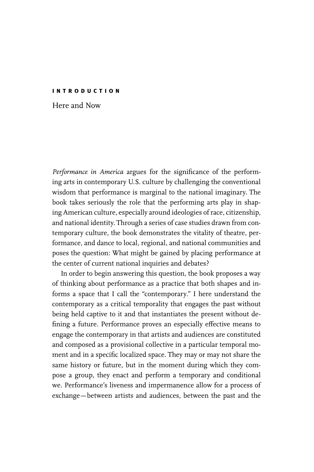## introduction

Here and Now

Performance in America argues for the significance of the performing arts in contemporary U.S. culture by challenging the conventional wisdom that performance is marginal to the national imaginary. The book takes seriously the role that the performing arts play in shaping American culture, especially around ideologies of race, citizenship, and national identity. Through a series of case studies drawn from contemporary culture, the book demonstrates the vitality of theatre, performance, and dance to local, regional, and national communities and poses the question: What might be gained by placing performance at the center of current national inquiries and debates?

In order to begin answering this question, the book proposes a way of thinking about performance as a practice that both shapes and informs a space that I call the "contemporary." I here understand the contemporary as a critical temporality that engages the past without being held captive to it and that instantiates the present without defining a future. Performance proves an especially effective means to engage the contemporary in that artists and audiences are constituted and composed as a provisional collective in a particular temporal moment and in a specific localized space. They may or may not share the same history or future, but in the moment during which they compose a group, they enact and perform a temporary and conditional we. Performance's liveness and impermanence allow for a process of exchange—between artists and audiences, between the past and the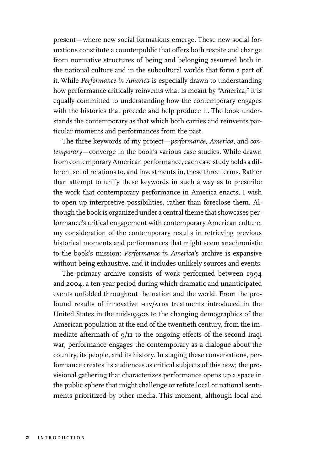present—where new social formations emerge. These new social formations constitute a counterpublic that offers both respite and change from normative structures of being and belonging assumed both in the national culture and in the subcultural worlds that form a part of it. While Performance in America is especially drawn to understanding how performance critically reinvents what is meant by "America," it is equally committed to understanding how the contemporary engages with the histories that precede and help produce it. The book understands the contemporary as that which both carries and reinvents particular moments and performances from the past.

The three keywords of my project—performance, America, and contemporary—converge in the book's various case studies. While drawn from contemporary American performance, each case study holds a different set of relations to, and investments in, these three terms. Rather than attempt to unify these keywords in such a way as to prescribe the work that contemporary performance in America enacts, I wish to open up interpretive possibilities, rather than foreclose them. Although the book is organized under a central theme that showcases performance's critical engagement with contemporary American culture, my consideration of the contemporary results in retrieving previous historical moments and performances that might seem anachronistic to the book's mission: Performance in America's archive is expansive without being exhaustive, and it includes unlikely sources and events.

The primary archive consists of work performed between 1994 and 2004, a ten-year period during which dramatic and unanticipated events unfolded throughout the nation and the world. From the profound results of innovative HIV/AIDS treatments introduced in the United States in the mid-1990s to the changing demographics of the American population at the end of the twentieth century, from the immediate aftermath of 9/11 to the ongoing effects of the second Iraqi war, performance engages the contemporary as a dialogue about the country, its people, and its history. In staging these conversations, performance creates its audiences as critical subjects of this now; the provisional gathering that characterizes performance opens up a space in the public sphere that might challenge or refute local or national sentiments prioritized by other media. This moment, although local and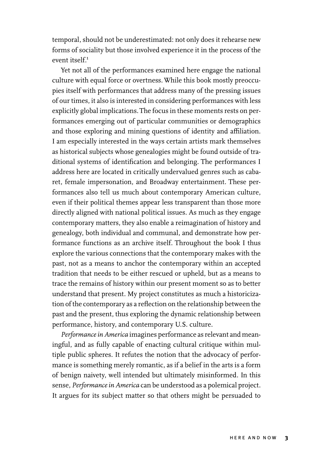temporal, should not be underestimated: not only does it rehearse new forms of sociality but those involved experience it in the process of the  $event$  itsel $f<sup>1</sup>$ 

Yet not all of the performances examined here engage the national culture with equal force or overtness.While this book mostly preoccupies itself with performances that address many of the pressing issues of our times, it also is interested in considering performances with less explicitly global implications. The focus in these moments rests on performances emerging out of particular communities or demographics and those exploring and mining questions of identity and affiliation. I am especially interested in the ways certain artists mark themselves as historical subjects whose genealogies might be found outside of traditional systems of identification and belonging. The performances I address here are located in critically undervalued genres such as cabaret, female impersonation, and Broadway entertainment. These performances also tell us much about contemporary American culture, even if their political themes appear less transparent than those more directly aligned with national political issues. As much as they engage contemporary matters, they also enable a reimagination of history and genealogy, both individual and communal, and demonstrate how performance functions as an archive itself. Throughout the book I thus explore the various connections that the contemporary makes with the past, not as a means to anchor the contemporary within an accepted tradition that needs to be either rescued or upheld, but as a means to trace the remains of history within our present moment so as to better understand that present. My project constitutes as much a historicization of the contemporary as a reflection on the relationship between the past and the present, thus exploring the dynamic relationship between performance, history, and contemporary U.S. culture.

Performance in America imagines performance as relevant and meaningful, and as fully capable of enacting cultural critique within multiple public spheres. It refutes the notion that the advocacy of performance is something merely romantic, as if a belief in the arts is a form of benign naivety, well intended but ultimately misinformed. In this sense, Performance in America can be understood as a polemical project. It argues for its subject matter so that others might be persuaded to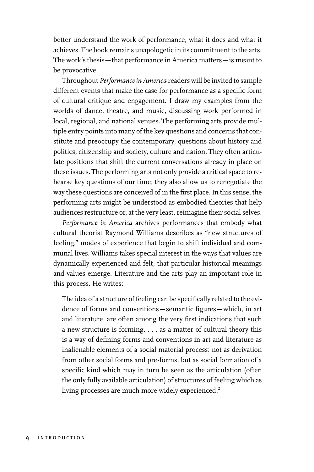better understand the work of performance, what it does and what it achieves.The book remains unapologetic in its commitment to the arts. The work's thesis—that performance in America matters—is meant to be provocative.

Throughout Performance in America readers will be invited to sample different events that make the case for performance as a specific form of cultural critique and engagement. I draw my examples from the worlds of dance, theatre, and music, discussing work performed in local, regional, and national venues. The performing arts provide multiple entry points into many of the key questions and concerns that constitute and preoccupy the contemporary, questions about history and politics, citizenship and society, culture and nation. They often articulate positions that shift the current conversations already in place on these issues. The performing arts not only provide a critical space to rehearse key questions of our time; they also allow us to renegotiate the way these questions are conceived of in the first place. In this sense, the performing arts might be understood as embodied theories that help audiences restructure or, at the very least, reimagine their social selves.

Performance in America archives performances that embody what cultural theorist Raymond Williams describes as ''new structures of feeling,'' modes of experience that begin to shift individual and communal lives. Williams takes special interest in the ways that values are dynamically experienced and felt, that particular historical meanings and values emerge. Literature and the arts play an important role in this process. He writes:

The idea of a structure of feeling can be specifically related to the evidence of forms and conventions—semantic figures—which, in art and literature, are often among the very first indications that such a new structure is forming. . . . as a matter of cultural theory this is a way of defining forms and conventions in art and literature as inalienable elements of a social material process: not as derivation from other social forms and pre-forms, but as social formation of a specific kind which may in turn be seen as the articulation (often the only fully available articulation) of structures of feeling which as living processes are much more widely experienced.<sup>2</sup>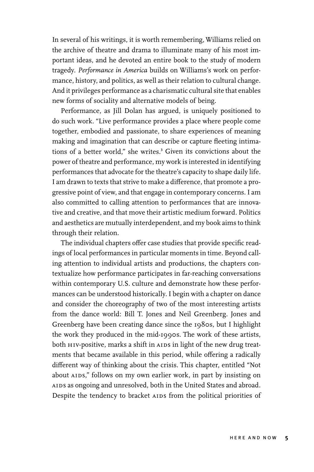In several of his writings, it is worth remembering, Williams relied on the archive of theatre and drama to illuminate many of his most important ideas, and he devoted an entire book to the study of modern tragedy. Performance in America builds on Williams's work on performance, history, and politics, as well as their relation to cultural change. And it privileges performance as a charismatic cultural site that enables new forms of sociality and alternative models of being.

Performance, as Jill Dolan has argued, is uniquely positioned to do such work. ''Live performance provides a place where people come together, embodied and passionate, to share experiences of meaning making and imagination that can describe or capture fleeting intimations of a better world," she writes.<sup>3</sup> Given its convictions about the power of theatre and performance, my work is interested in identifying performances that advocate for the theatre's capacity to shape daily life. I am drawn to texts that strive to make a difference, that promote a progressive point of view, and that engage in contemporary concerns. I am also committed to calling attention to performances that are innovative and creative, and that move their artistic medium forward. Politics and aesthetics are mutually interdependent, and my book aims to think through their relation.

The individual chapters offer case studies that provide specific readings of local performances in particular moments in time. Beyond calling attention to individual artists and productions, the chapters contextualize how performance participates in far-reaching conversations within contemporary U.S. culture and demonstrate how these performances can be understood historically. I begin with a chapter on dance and consider the choreography of two of the most interesting artists from the dance world: Bill T. Jones and Neil Greenberg. Jones and Greenberg have been creating dance since the 1980s, but I highlight the work they produced in the mid-1990s. The work of these artists, both HIV-positive, marks a shift in AIDS in light of the new drug treatments that became available in this period, while offering a radically different way of thinking about the crisis. This chapter, entitled ''Not about AIDS," follows on my own earlier work, in part by insisting on AIDS as ongoing and unresolved, both in the United States and abroad. Despite the tendency to bracket AIDS from the political priorities of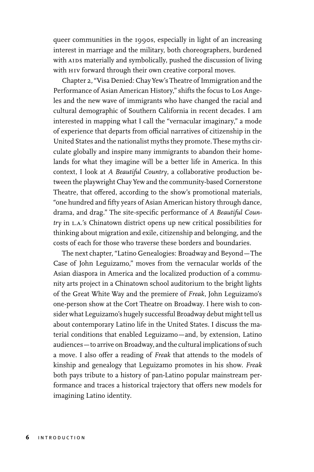queer communities in the 1990s, especially in light of an increasing interest in marriage and the military, both choreographers, burdened with AIDS materially and symbolically, pushed the discussion of living with HIV forward through their own creative corporal moves.

Chapter 2, ''Visa Denied: Chay Yew's Theatre of Immigration and the Performance of Asian American History," shifts the focus to Los Angeles and the new wave of immigrants who have changed the racial and cultural demographic of Southern California in recent decades. I am interested in mapping what I call the ''vernacular imaginary,'' a mode of experience that departs from official narratives of citizenship in the United States and the nationalist myths they promote. These myths circulate globally and inspire many immigrants to abandon their homelands for what they imagine will be a better life in America. In this context, I look at A Beautiful Country, a collaborative production between the playwright Chay Yew and the community-based Cornerstone Theatre, that offered, according to the show's promotional materials, ''one hundred and fifty years of Asian American history through dance, drama, and drag.'' The site-specific performance of A Beautiful Country in l.a.'s Chinatown district opens up new critical possibilities for thinking about migration and exile, citizenship and belonging, and the costs of each for those who traverse these borders and boundaries.

The next chapter, "Latino Genealogies: Broadway and Beyond-The Case of John Leguizamo,'' moves from the vernacular worlds of the Asian diaspora in America and the localized production of a community arts project in a Chinatown school auditorium to the bright lights of the Great White Way and the premiere of Freak, John Leguizamo's one-person show at the Cort Theatre on Broadway. I here wish to consider what Leguizamo's hugely successful Broadway debut might tell us about contemporary Latino life in the United States. I discuss the material conditions that enabled Leguizamo—and, by extension, Latino audiences—to arrive on Broadway, and the cultural implications of such a move. I also offer a reading of Freak that attends to the models of kinship and genealogy that Leguizamo promotes in his show. Freak both pays tribute to a history of pan-Latino popular mainstream performance and traces a historical trajectory that offers new models for imagining Latino identity.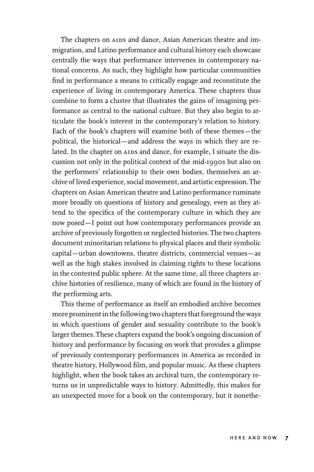The chapters on AIDS and dance, Asian American theatre and immigration, and Latino performance and cultural history each showcase centrally the ways that performance intervenes in contemporary national concerns. As such, they highlight how particular communities find in performance a means to critically engage and reconstitute the experience of living in contemporary America. These chapters thus combine to form a cluster that illustrates the gains of imagining performance as central to the national culture. But they also begin to articulate the book's interest in the contemporary's relation to history. Each of the book's chapters will examine both of these themes—the political, the historical—and address the ways in which they are related. In the chapter on AIDS and dance, for example, I situate the discussion not only in the political context of the mid-1990s but also on the performers' relationship to their own bodies, themselves an archive of lived experience, social movement, and artistic expression.The chapters on Asian American theatre and Latino performance ruminate more broadly on questions of history and genealogy, even as they attend to the specifics of the contemporary culture in which they are now posed—I point out how contemporary performances provide an archive of previously forgotten or neglected histories. The two chapters document minoritarian relations to physical places and their symbolic capital—urban downtowns, theatre districts, commercial venues—as well as the high stakes involved in claiming rights to these locations in the contested public sphere. At the same time, all three chapters archive histories of resilience, many of which are found in the history of the performing arts.

This theme of performance as itself an embodied archive becomes more prominent in the following two chapters that foreground the ways in which questions of gender and sexuality contribute to the book's larger themes. These chapters expand the book's ongoing discussion of history and performance by focusing on work that provides a glimpse of previously contemporary performances in America as recorded in theatre history, Hollywood film, and popular music. As these chapters highlight, when the book takes an archival turn, the contemporary returns us in unpredictable ways to history. Admittedly, this makes for an unexpected move for a book on the contemporary, but it nonethe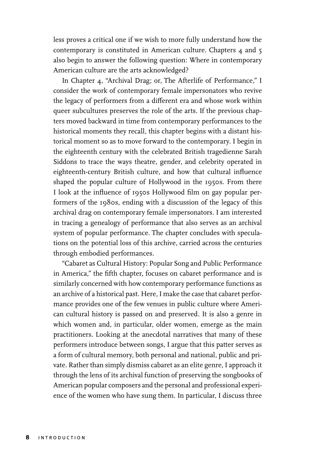less proves a critical one if we wish to more fully understand how the contemporary is constituted in American culture. Chapters  $4$  and  $5$ also begin to answer the following question: Where in contemporary American culture are the arts acknowledged?

In Chapter 4, "Archival Drag; or, The Afterlife of Performance," I consider the work of contemporary female impersonators who revive the legacy of performers from a different era and whose work within queer subcultures preserves the role of the arts. If the previous chapters moved backward in time from contemporary performances to the historical moments they recall, this chapter begins with a distant historical moment so as to move forward to the contemporary. I begin in the eighteenth century with the celebrated British tragedienne Sarah Siddons to trace the ways theatre, gender, and celebrity operated in eighteenth-century British culture, and how that cultural influence shaped the popular culture of Hollywood in the 1950s. From there I look at the influence of 1950s Hollywood film on gay popular performers of the 1980s, ending with a discussion of the legacy of this archival drag on contemporary female impersonators. I am interested in tracing a genealogy of performance that also serves as an archival system of popular performance. The chapter concludes with speculations on the potential loss of this archive, carried across the centuries through embodied performances.

''Cabaret as Cultural History: Popular Song and Public Performance in America,'' the fifth chapter, focuses on cabaret performance and is similarly concerned with how contemporary performance functions as an archive of a historical past. Here, I make the case that cabaret performance provides one of the few venues in public culture where American cultural history is passed on and preserved. It is also a genre in which women and, in particular, older women, emerge as the main practitioners. Looking at the anecdotal narratives that many of these performers introduce between songs, I argue that this patter serves as a form of cultural memory, both personal and national, public and private. Rather than simply dismiss cabaret as an elite genre, I approach it through the lens of its archival function of preserving the songbooks of American popular composers and the personal and professional experience of the women who have sung them. In particular, I discuss three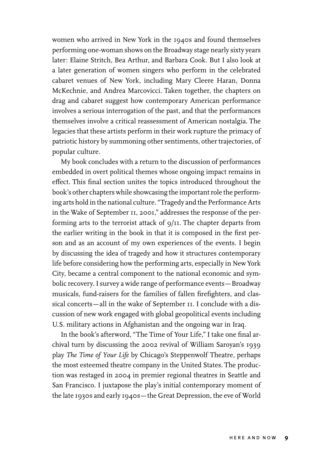women who arrived in New York in the 1940s and found themselves performing one-woman shows on the Broadway stage nearly sixty years later: Elaine Stritch, Bea Arthur, and Barbara Cook. But I also look at a later generation of women singers who perform in the celebrated cabaret venues of New York, including Mary Cleere Haran, Donna McKechnie, and Andrea Marcovicci. Taken together, the chapters on drag and cabaret suggest how contemporary American performance involves a serious interrogation of the past, and that the performances themselves involve a critical reassessment of American nostalgia. The legacies that these artists perform in their work rupture the primacy of patriotic history by summoning other sentiments, other trajectories, of popular culture.

My book concludes with a return to the discussion of performances embedded in overt political themes whose ongoing impact remains in effect. This final section unites the topics introduced throughout the book's other chapters while showcasing the important role the performing arts hold in the national culture. ''Tragedy and the Performance Arts in the Wake of September 11, 2001,'' addresses the response of the performing arts to the terrorist attack of  $9/11$ . The chapter departs from the earlier writing in the book in that it is composed in the first person and as an account of my own experiences of the events. I begin by discussing the idea of tragedy and how it structures contemporary life before considering how the performing arts, especially in New York City, became a central component to the national economic and symbolic recovery. I survey a wide range of performance events—Broadway musicals, fund-raisers for the families of fallen firefighters, and classical concerts—all in the wake of September 11. I conclude with a discussion of new work engaged with global geopolitical events including U.S. military actions in Afghanistan and the ongoing war in Iraq.

In the book's afterword, "The Time of Your Life," I take one final archival turn by discussing the 2002 revival of William Saroyan's 1939 play The Time of Your Life by Chicago's Steppenwolf Theatre, perhaps the most esteemed theatre company in the United States. The production was restaged in 2004 in premier regional theatres in Seattle and San Francisco. I juxtapose the play's initial contemporary moment of the late 1930s and early 1940s—the Great Depression, the eve of World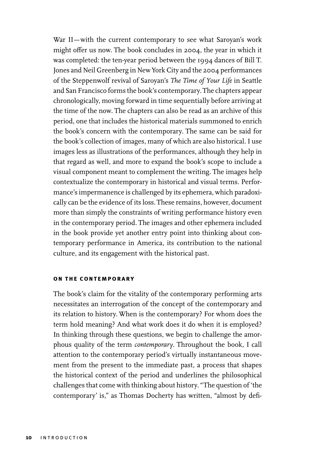War II—with the current contemporary to see what Saroyan's work might offer us now. The book concludes in 2004, the year in which it was completed: the ten-year period between the 1994 dances of Bill T. Jones and Neil Greenberg in New York City and the 2004 performances of the Steppenwolf revival of Saroyan's The Time of Your Life in Seattle and San Francisco forms the book's contemporary.The chapters appear chronologically, moving forward in time sequentially before arriving at the time of the now. The chapters can also be read as an archive of this period, one that includes the historical materials summoned to enrich the book's concern with the contemporary. The same can be said for the book's collection of images, many of which are also historical. I use images less as illustrations of the performances, although they help in that regard as well, and more to expand the book's scope to include a visual component meant to complement the writing. The images help contextualize the contemporary in historical and visual terms. Performance's impermanence is challenged by its ephemera, which paradoxically can be the evidence of its loss. These remains, however, document more than simply the constraints of writing performance history even in the contemporary period. The images and other ephemera included in the book provide yet another entry point into thinking about contemporary performance in America, its contribution to the national culture, and its engagement with the historical past.

## on the contemporary

The book's claim for the vitality of the contemporary performing arts necessitates an interrogation of the concept of the contemporary and its relation to history. When is the contemporary? For whom does the term hold meaning? And what work does it do when it is employed? In thinking through these questions, we begin to challenge the amorphous quality of the term contemporary. Throughout the book, I call attention to the contemporary period's virtually instantaneous movement from the present to the immediate past, a process that shapes the historical context of the period and underlines the philosophical challenges that come with thinking about history. ''The question of 'the contemporary' is," as Thomas Docherty has written, "almost by defi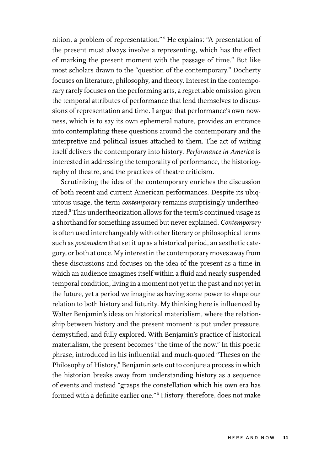nition, a problem of representation."<sup>4</sup> He explains: "A presentation of the present must always involve a representing, which has the effect of marking the present moment with the passage of time.'' But like most scholars drawn to the ''question of the contemporary,'' Docherty focuses on literature, philosophy, and theory. Interest in the contemporary rarely focuses on the performing arts, a regrettable omission given the temporal attributes of performance that lend themselves to discussions of representation and time. I argue that performance's own nowness, which is to say its own ephemeral nature, provides an entrance into contemplating these questions around the contemporary and the interpretive and political issues attached to them. The act of writing itself delivers the contemporary into history. Performance in America is interested in addressing the temporality of performance, the historiography of theatre, and the practices of theatre criticism.

Scrutinizing the idea of the contemporary enriches the discussion of both recent and current American performances. Despite its ubiquitous usage, the term contemporary remains surprisingly undertheorized.5 This undertheorization allows for the term's continued usage as a shorthand for something assumed but never explained. Contemporary is often used interchangeably with other literary or philosophical terms such as postmodern that set it up as a historical period, an aesthetic category, or both at once. My interest in the contemporary moves away from these discussions and focuses on the idea of the present as a time in which an audience imagines itself within a fluid and nearly suspended temporal condition, living in a moment not yet in the past and not yet in the future, yet a period we imagine as having some power to shape our relation to both history and futurity. My thinking here is influenced by Walter Benjamin's ideas on historical materialism, where the relationship between history and the present moment is put under pressure, demystified, and fully explored. With Benjamin's practice of historical materialism, the present becomes "the time of the now." In this poetic phrase, introduced in his influential and much-quoted ''Theses on the Philosophy of History,'' Benjamin sets out to conjure a process in which the historian breaks away from understanding history as a sequence of events and instead ''grasps the constellation which his own era has formed with a definite earlier one."<sup>6</sup> History, therefore, does not make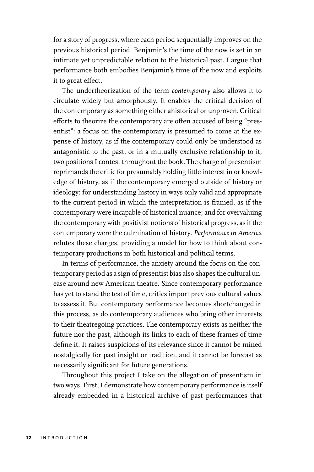for a story of progress, where each period sequentially improves on the previous historical period. Benjamin's the time of the now is set in an intimate yet unpredictable relation to the historical past. I argue that performance both embodies Benjamin's time of the now and exploits it to great effect.

The undertheorization of the term contemporary also allows it to circulate widely but amorphously. It enables the critical derision of the contemporary as something either ahistorical or unproven. Critical efforts to theorize the contemporary are often accused of being ''presentist'': a focus on the contemporary is presumed to come at the expense of history, as if the contemporary could only be understood as antagonistic to the past, or in a mutually exclusive relationship to it, two positions I contest throughout the book. The charge of presentism reprimands the critic for presumably holding little interest in or knowledge of history, as if the contemporary emerged outside of history or ideology; for understanding history in ways only valid and appropriate to the current period in which the interpretation is framed, as if the contemporary were incapable of historical nuance; and for overvaluing the contemporary with positivist notions of historical progress, as if the contemporary were the culmination of history. Performance in America refutes these charges, providing a model for how to think about contemporary productions in both historical and political terms.

In terms of performance, the anxiety around the focus on the contemporary period as a sign of presentist bias also shapes the cultural unease around new American theatre. Since contemporary performance has yet to stand the test of time, critics import previous cultural values to assess it. But contemporary performance becomes shortchanged in this process, as do contemporary audiences who bring other interests to their theatregoing practices. The contemporary exists as neither the future nor the past, although its links to each of these frames of time define it. It raises suspicions of its relevance since it cannot be mined nostalgically for past insight or tradition, and it cannot be forecast as necessarily significant for future generations.

Throughout this project I take on the allegation of presentism in two ways. First, I demonstrate how contemporary performance is itself already embedded in a historical archive of past performances that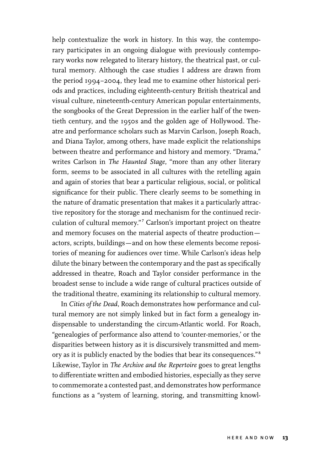help contextualize the work in history. In this way, the contemporary participates in an ongoing dialogue with previously contemporary works now relegated to literary history, the theatrical past, or cultural memory. Although the case studies I address are drawn from the period 1994–2004, they lead me to examine other historical periods and practices, including eighteenth-century British theatrical and visual culture, nineteenth-century American popular entertainments, the songbooks of the Great Depression in the earlier half of the twentieth century, and the 1950s and the golden age of Hollywood. Theatre and performance scholars such as Marvin Carlson, Joseph Roach, and Diana Taylor, among others, have made explicit the relationships between theatre and performance and history and memory. ''Drama,'' writes Carlson in The Haunted Stage, "more than any other literary form, seems to be associated in all cultures with the retelling again and again of stories that bear a particular religious, social, or political significance for their public. There clearly seems to be something in the nature of dramatic presentation that makes it a particularly attractive repository for the storage and mechanism for the continued recirculation of cultural memory."<sup>7</sup> Carlson's important project on theatre and memory focuses on the material aspects of theatre production actors, scripts, buildings—and on how these elements become repositories of meaning for audiences over time. While Carlson's ideas help dilute the binary between the contemporary and the past as specifically addressed in theatre, Roach and Taylor consider performance in the broadest sense to include a wide range of cultural practices outside of the traditional theatre, examining its relationship to cultural memory.

In Cities of the Dead, Roach demonstrates how performance and cultural memory are not simply linked but in fact form a genealogy indispensable to understanding the circum-Atlantic world. For Roach, "genealogies of performance also attend to 'counter-memories,' or the disparities between history as it is discursively transmitted and memory as it is publicly enacted by the bodies that bear its consequences.''8 Likewise, Taylor in The Archive and the Repertoire goes to great lengths to differentiate written and embodied histories, especially as they serve to commemorate a contested past, and demonstrates how performance functions as a "system of learning, storing, and transmitting knowl-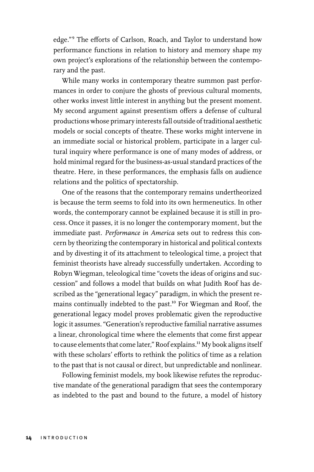edge.''9 The efforts of Carlson, Roach, and Taylor to understand how performance functions in relation to history and memory shape my own project's explorations of the relationship between the contemporary and the past.

While many works in contemporary theatre summon past performances in order to conjure the ghosts of previous cultural moments, other works invest little interest in anything but the present moment. My second argument against presentism offers a defense of cultural productions whose primary interests fall outside of traditional aesthetic models or social concepts of theatre. These works might intervene in an immediate social or historical problem, participate in a larger cultural inquiry where performance is one of many modes of address, or hold minimal regard for the business-as-usual standard practices of the theatre. Here, in these performances, the emphasis falls on audience relations and the politics of spectatorship.

One of the reasons that the contemporary remains undertheorized is because the term seems to fold into its own hermeneutics. In other words, the contemporary cannot be explained because it is still in process. Once it passes, it is no longer the contemporary moment, but the immediate past. Performance in America sets out to redress this concern by theorizing the contemporary in historical and political contexts and by divesting it of its attachment to teleological time, a project that feminist theorists have already successfully undertaken. According to Robyn Wiegman, teleological time "covets the ideas of origins and succession'' and follows a model that builds on what Judith Roof has described as the "generational legacy" paradigm, in which the present remains continually indebted to the past.<sup>10</sup> For Wiegman and Roof, the generational legacy model proves problematic given the reproductive logic it assumes. "Generation's reproductive familial narrative assumes a linear, chronological time where the elements that come first appear to cause elements that come later," Roof explains.<sup>11</sup> My book aligns itself with these scholars' efforts to rethink the politics of time as a relation to the past that is not causal or direct, but unpredictable and nonlinear.

Following feminist models, my book likewise refutes the reproductive mandate of the generational paradigm that sees the contemporary as indebted to the past and bound to the future, a model of history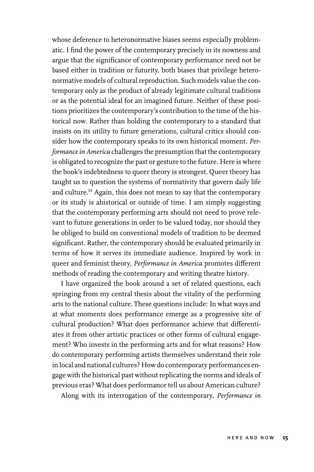whose deference to heteronormative biases seems especially problematic. I find the power of the contemporary precisely in its nowness and argue that the significance of contemporary performance need not be based either in tradition or futurity, both biases that privilege heteronormative models of cultural reproduction. Such models value the contemporary only as the product of already legitimate cultural traditions or as the potential ideal for an imagined future. Neither of these positions prioritizes the contemporary's contribution to the time of the historical now. Rather than holding the contemporary to a standard that insists on its utility to future generations, cultural critics should consider how the contemporary speaks to its own historical moment. Performance in America challenges the presumption that the contemporary is obligated to recognize the past or gesture to the future. Here is where the book's indebtedness to queer theory is strongest. Queer theory has taught us to question the systems of normativity that govern daily life and culture.<sup>12</sup> Again, this does not mean to say that the contemporary or its study is ahistorical or outside of time. I am simply suggesting that the contemporary performing arts should not need to prove relevant to future generations in order to be valued today, nor should they be obliged to build on conventional models of tradition to be deemed significant. Rather, the contemporary should be evaluated primarily in terms of how it serves its immediate audience. Inspired by work in queer and feminist theory, Performance in America promotes different methods of reading the contemporary and writing theatre history.

I have organized the book around a set of related questions, each springing from my central thesis about the vitality of the performing arts to the national culture. These questions include: In what ways and at what moments does performance emerge as a progressive site of cultural production? What does performance achieve that differentiates it from other artistic practices or other forms of cultural engagement? Who invests in the performing arts and for what reasons? How do contemporary performing artists themselves understand their role in local and national cultures? How do contemporary performances engage with the historical past without replicating the norms and ideals of previous eras? What does performance tell us about American culture?

Along with its interrogation of the contemporary, Performance in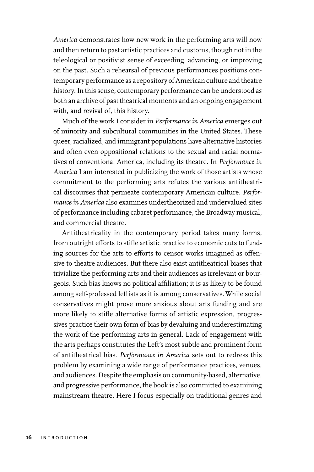America demonstrates how new work in the performing arts will now and then return to past artistic practices and customs, though not in the teleological or positivist sense of exceeding, advancing, or improving on the past. Such a rehearsal of previous performances positions contemporary performance as a repository of American culture and theatre history. In this sense, contemporary performance can be understood as both an archive of past theatrical moments and an ongoing engagement with, and revival of, this history.

Much of the work I consider in Performance in America emerges out of minority and subcultural communities in the United States. These queer, racialized, and immigrant populations have alternative histories and often even oppositional relations to the sexual and racial normatives of conventional America, including its theatre. In Performance in America I am interested in publicizing the work of those artists whose commitment to the performing arts refutes the various antitheatrical discourses that permeate contemporary American culture. Performance in America also examines undertheorized and undervalued sites of performance including cabaret performance, the Broadway musical, and commercial theatre.

Antitheatricality in the contemporary period takes many forms, from outright efforts to stifle artistic practice to economic cuts to funding sources for the arts to efforts to censor works imagined as offensive to theatre audiences. But there also exist antitheatrical biases that trivialize the performing arts and their audiences as irrelevant or bourgeois. Such bias knows no political affiliation; it is as likely to be found among self-professed leftists as it is among conservatives.While social conservatives might prove more anxious about arts funding and are more likely to stifle alternative forms of artistic expression, progressives practice their own form of bias by devaluing and underestimating the work of the performing arts in general. Lack of engagement with the arts perhaps constitutes the Left's most subtle and prominent form of antitheatrical bias. Performance in America sets out to redress this problem by examining a wide range of performance practices, venues, and audiences. Despite the emphasis on community-based, alternative, and progressive performance, the book is also committed to examining mainstream theatre. Here I focus especially on traditional genres and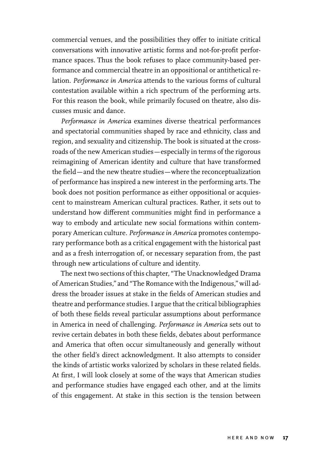commercial venues, and the possibilities they offer to initiate critical conversations with innovative artistic forms and not-for-profit performance spaces. Thus the book refuses to place community-based performance and commercial theatre in an oppositional or antithetical relation. Performance in America attends to the various forms of cultural contestation available within a rich spectrum of the performing arts. For this reason the book, while primarily focused on theatre, also discusses music and dance.

Performance in America examines diverse theatrical performances and spectatorial communities shaped by race and ethnicity, class and region, and sexuality and citizenship. The book is situated at the crossroads of the new American studies—especially in terms of the rigorous reimagining of American identity and culture that have transformed the field—and the new theatre studies—where the reconceptualization of performance has inspired a new interest in the performing arts. The book does not position performance as either oppositional or acquiescent to mainstream American cultural practices. Rather, it sets out to understand how different communities might find in performance a way to embody and articulate new social formations within contemporary American culture. Performance in America promotes contemporary performance both as a critical engagement with the historical past and as a fresh interrogation of, or necessary separation from, the past through new articulations of culture and identity.

The next two sections of this chapter, ''The Unacknowledged Drama of American Studies,'' and ''The Romance with the Indigenous,'' will address the broader issues at stake in the fields of American studies and theatre and performance studies. I argue that the critical bibliographies of both these fields reveal particular assumptions about performance in America in need of challenging. Performance in America sets out to revive certain debates in both these fields, debates about performance and America that often occur simultaneously and generally without the other field's direct acknowledgment. It also attempts to consider the kinds of artistic works valorized by scholars in these related fields. At first, I will look closely at some of the ways that American studies and performance studies have engaged each other, and at the limits of this engagement. At stake in this section is the tension between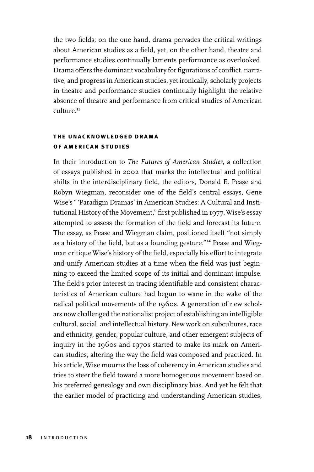the two fields; on the one hand, drama pervades the critical writings about American studies as a field, yet, on the other hand, theatre and performance studies continually laments performance as overlooked. Drama offers the dominant vocabulary for figurations of conflict, narrative, and progress in American studies, yet ironically, scholarly projects in theatre and performance studies continually highlight the relative absence of theatre and performance from critical studies of American  $c$ ulture $13$ 

## the unacknowledged drama of american studies

In their introduction to The Futures of American Studies, a collection of essays published in 2002 that marks the intellectual and political shifts in the interdisciplinary field, the editors, Donald E. Pease and Robyn Wiegman, reconsider one of the field's central essays, Gene Wise's '' 'Paradigm Dramas' in American Studies: A Cultural and Institutional History of the Movement,'' first published in 1977.Wise's essay attempted to assess the formation of the field and forecast its future. The essay, as Pease and Wiegman claim, positioned itself ''not simply as a history of the field, but as a founding gesture."<sup>14</sup> Pease and Wiegman critique Wise's history of the field, especially his effort to integrate and unify American studies at a time when the field was just beginning to exceed the limited scope of its initial and dominant impulse. The field's prior interest in tracing identifiable and consistent characteristics of American culture had begun to wane in the wake of the radical political movements of the 1960s. A generation of new scholars now challenged the nationalist project of establishing an intelligible cultural, social, and intellectual history. New work on subcultures, race and ethnicity, gender, popular culture, and other emergent subjects of inquiry in the 1960s and 1970s started to make its mark on American studies, altering the way the field was composed and practiced. In his article,Wise mourns the loss of coherency in American studies and tries to steer the field toward a more homogenous movement based on his preferred genealogy and own disciplinary bias. And yet he felt that the earlier model of practicing and understanding American studies,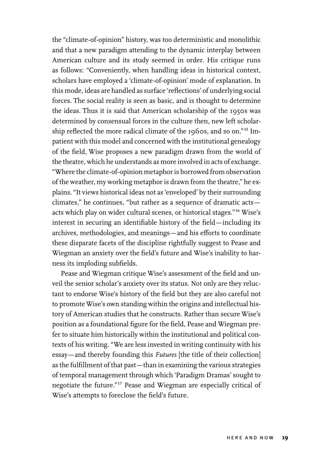the "climate-of-opinion" history, was too deterministic and monolithic and that a new paradigm attending to the dynamic interplay between American culture and its study seemed in order. His critique runs as follows: "Conveniently, when handling ideas in historical context, scholars have employed a 'climate-of-opinion' mode of explanation. In this mode, ideas are handled as surface 'reflections' of underlying social forces. The social reality is seen as basic, and is thought to determine the ideas. Thus it is said that American scholarship of the 1950s was determined by consensual forces in the culture then, new left scholarship reflected the more radical climate of the 1960s, and so on."<sup>15</sup> Impatient with this model and concerned with the institutional genealogy of the field, Wise proposes a new paradigm drawn from the world of the theatre, which he understands as more involved in acts of exchange. ''Where the climate-of-opinion metaphor is borrowed from observation of the weather, my working metaphor is drawn from the theatre,'' he explains. ''It views historical ideas not as 'enveloped' by their surrounding climates,'' he continues, ''but rather as a sequence of dramatic acts acts which play on wider cultural scenes, or historical stages."<sup>16</sup> Wise's interest in securing an identifiable history of the field—including its archives, methodologies, and meanings—and his efforts to coordinate these disparate facets of the discipline rightfully suggest to Pease and Wiegman an anxiety over the field's future and Wise's inability to harness its imploding subfields.

Pease and Wiegman critique Wise's assessment of the field and unveil the senior scholar's anxiety over its status. Not only are they reluctant to endorse Wise's history of the field but they are also careful not to promote Wise's own standing within the origins and intellectual history of American studies that he constructs. Rather than secure Wise's position as a foundational figure for the field, Pease and Wiegman prefer to situate him historically within the institutional and political contexts of his writing. ''We are less invested in writing continuity with his essay—and thereby founding this Futures [the title of their collection] as the fulfillment of that past—than in examining the various strategies of temporal management through which 'Paradigm Dramas' sought to negotiate the future.''17 Pease and Wiegman are especially critical of Wise's attempts to foreclose the field's future.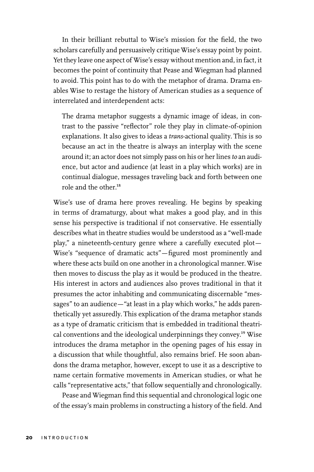In their brilliant rebuttal to Wise's mission for the field, the two scholars carefully and persuasively critique Wise's essay point by point. Yet they leave one aspect of Wise's essay without mention and, in fact, it becomes the point of continuity that Pease and Wiegman had planned to avoid. This point has to do with the metaphor of drama. Drama enables Wise to restage the history of American studies as a sequence of interrelated and interdependent acts:

The drama metaphor suggests a dynamic image of ideas, in contrast to the passive "reflector" role they play in climate-of-opinion explanations. It also gives to ideas a trans-actional quality. This is so because an act in the theatre is always an interplay with the scene around it; an actor does not simply pass on his or her lines to an audience, but actor and audience (at least in a play which works) are in continual dialogue, messages traveling back and forth between one role and the other.<sup>18</sup>

Wise's use of drama here proves revealing. He begins by speaking in terms of dramaturgy, about what makes a good play, and in this sense his perspective is traditional if not conservative. He essentially describes what in theatre studies would be understood as a ''well-made play,'' a nineteenth-century genre where a carefully executed plot— Wise's "sequence of dramatic acts"-figured most prominently and where these acts build on one another in a chronological manner. Wise then moves to discuss the play as it would be produced in the theatre. His interest in actors and audiences also proves traditional in that it presumes the actor inhabiting and communicating discernable "messages" to an audience—"at least in a play which works," he adds parenthetically yet assuredly. This explication of the drama metaphor stands as a type of dramatic criticism that is embedded in traditional theatrical conventions and the ideological underpinnings they convey.19 Wise introduces the drama metaphor in the opening pages of his essay in a discussion that while thoughtful, also remains brief. He soon abandons the drama metaphor, however, except to use it as a descriptive to name certain formative movements in American studies, or what he calls ''representative acts,'' that follow sequentially and chronologically.

Pease and Wiegman find this sequential and chronological logic one of the essay's main problems in constructing a history of the field. And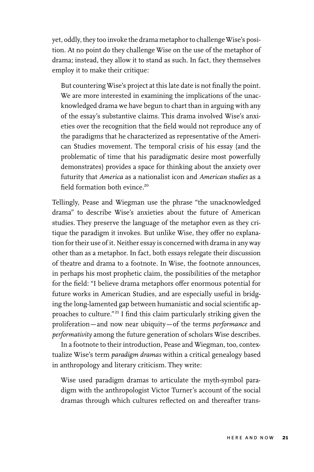yet, oddly, they too invoke the drama metaphor to challenge Wise's position. At no point do they challenge Wise on the use of the metaphor of drama; instead, they allow it to stand as such. In fact, they themselves employ it to make their critique:

But counteringWise's project at this late date is not finally the point. We are more interested in examining the implications of the unacknowledged drama we have begun to chart than in arguing with any of the essay's substantive claims. This drama involved Wise's anxieties over the recognition that the field would not reproduce any of the paradigms that he characterized as representative of the American Studies movement. The temporal crisis of his essay (and the problematic of time that his paradigmatic desire most powerfully demonstrates) provides a space for thinking about the anxiety over futurity that America as a nationalist icon and American studies as a field formation both evince.<sup>20</sup>

Tellingly, Pease and Wiegman use the phrase ''the unacknowledged drama'' to describe Wise's anxieties about the future of American studies. They preserve the language of the metaphor even as they critique the paradigm it invokes. But unlike Wise, they offer no explanation for their use of it. Neither essay is concerned with drama in any way other than as a metaphor. In fact, both essays relegate their discussion of theatre and drama to a footnote. In Wise, the footnote announces, in perhaps his most prophetic claim, the possibilities of the metaphor for the field: ''I believe drama metaphors offer enormous potential for future works in American Studies, and are especially useful in bridging the long-lamented gap between humanistic and social scientific approaches to culture."<sup>21</sup> I find this claim particularly striking given the proliferation—and now near ubiquity—of the terms performance and performativity among the future generation of scholars Wise describes.

In a footnote to their introduction, Pease and Wiegman, too, contextualize Wise's term paradigm dramas within a critical genealogy based in anthropology and literary criticism. They write:

Wise used paradigm dramas to articulate the myth-symbol paradigm with the anthropologist Victor Turner's account of the social dramas through which cultures reflected on and thereafter trans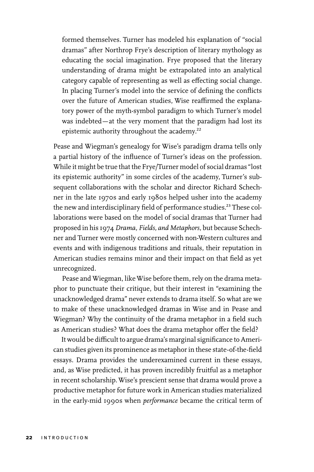formed themselves. Turner has modeled his explanation of ''social dramas'' after Northrop Frye's description of literary mythology as educating the social imagination. Frye proposed that the literary understanding of drama might be extrapolated into an analytical category capable of representing as well as effecting social change. In placing Turner's model into the service of defining the conflicts over the future of American studies, Wise reaffirmed the explanatory power of the myth-symbol paradigm to which Turner's model was indebted—at the very moment that the paradigm had lost its epistemic authority throughout the academy.<sup>22</sup>

Pease and Wiegman's genealogy for Wise's paradigm drama tells only a partial history of the influence of Turner's ideas on the profession. While it might be true that the Frye/Turner model of social dramas ''lost its epistemic authority'' in some circles of the academy, Turner's subsequent collaborations with the scholar and director Richard Schechner in the late 1970s and early 1980s helped usher into the academy the new and interdisciplinary field of performance studies.<sup>23</sup> These collaborations were based on the model of social dramas that Turner had proposed in his 1974 Drama, Fields, and Metaphors, but because Schechner and Turner were mostly concerned with non-Western cultures and events and with indigenous traditions and rituals, their reputation in American studies remains minor and their impact on that field as yet unrecognized.

Pease and Wiegman, like Wise before them, rely on the drama metaphor to punctuate their critique, but their interest in "examining the unacknowledged drama'' never extends to drama itself. So what are we to make of these unacknowledged dramas in Wise and in Pease and Wiegman? Why the continuity of the drama metaphor in a field such as American studies? What does the drama metaphor offer the field?

It would be difficult to argue drama's marginal significance to American studies given its prominence as metaphor in these state-of-the-field essays. Drama provides the underexamined current in these essays, and, as Wise predicted, it has proven incredibly fruitful as a metaphor in recent scholarship.Wise's prescient sense that drama would prove a productive metaphor for future work in American studies materialized in the early-mid 1990s when performance became the critical term of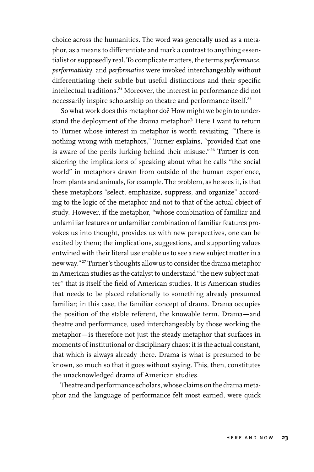choice across the humanities. The word was generally used as a metaphor, as a means to differentiate and mark a contrast to anything essentialist or supposedly real.To complicate matters, the terms performance, performativity, and performative were invoked interchangeably without differentiating their subtle but useful distinctions and their specific intellectual traditions.<sup>24</sup> Moreover, the interest in performance did not necessarily inspire scholarship on theatre and performance itself.25

So what work does this metaphor do? How might we begin to understand the deployment of the drama metaphor? Here I want to return to Turner whose interest in metaphor is worth revisiting. ''There is nothing wrong with metaphors," Turner explains, "provided that one is aware of the perils lurking behind their misuse."<sup>26</sup> Turner is considering the implications of speaking about what he calls ''the social world'' in metaphors drawn from outside of the human experience, from plants and animals, for example. The problem, as he sees it, is that these metaphors ''select, emphasize, suppress, and organize'' according to the logic of the metaphor and not to that of the actual object of study. However, if the metaphor, ''whose combination of familiar and unfamiliar features or unfamiliar combination of familiar features provokes us into thought, provides us with new perspectives, one can be excited by them; the implications, suggestions, and supporting values entwined with their literal use enable us to see a new subject matter in a new way.''27 Turner's thoughts allow us to consider the drama metaphor in American studies as the catalyst to understand ''the new subject matter'' that is itself the field of American studies. It is American studies that needs to be placed relationally to something already presumed familiar; in this case, the familiar concept of drama. Drama occupies the position of the stable referent, the knowable term. Drama—and theatre and performance, used interchangeably by those working the metaphor—is therefore not just the steady metaphor that surfaces in moments of institutional or disciplinary chaos; it is the actual constant, that which is always already there. Drama is what is presumed to be known, so much so that it goes without saying. This, then, constitutes the unacknowledged drama of American studies.

Theatre and performance scholars, whose claims on the drama metaphor and the language of performance felt most earned, were quick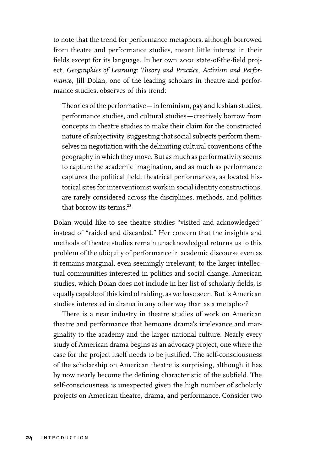to note that the trend for performance metaphors, although borrowed from theatre and performance studies, meant little interest in their fields except for its language. In her own 2001 state-of-the-field project, Geographies of Learning: Theory and Practice, Activism and Performance, Jill Dolan, one of the leading scholars in theatre and performance studies, observes of this trend:

Theories of the performative—in feminism, gay and lesbian studies, performance studies, and cultural studies—creatively borrow from concepts in theatre studies to make their claim for the constructed nature of subjectivity, suggesting that social subjects perform themselves in negotiation with the delimiting cultural conventions of the geography in which they move. But as much as performativity seems to capture the academic imagination, and as much as performance captures the political field, theatrical performances, as located historical sites for interventionist work in social identity constructions, are rarely considered across the disciplines, methods, and politics that borrow its terms.<sup>28</sup>

Dolan would like to see theatre studies ''visited and acknowledged'' instead of ''raided and discarded.'' Her concern that the insights and methods of theatre studies remain unacknowledged returns us to this problem of the ubiquity of performance in academic discourse even as it remains marginal, even seemingly irrelevant, to the larger intellectual communities interested in politics and social change. American studies, which Dolan does not include in her list of scholarly fields, is equally capable of this kind of raiding, as we have seen. But is American studies interested in drama in any other way than as a metaphor?

There is a near industry in theatre studies of work on American theatre and performance that bemoans drama's irrelevance and marginality to the academy and the larger national culture. Nearly every study of American drama begins as an advocacy project, one where the case for the project itself needs to be justified. The self-consciousness of the scholarship on American theatre is surprising, although it has by now nearly become the defining characteristic of the subfield. The self-consciousness is unexpected given the high number of scholarly projects on American theatre, drama, and performance. Consider two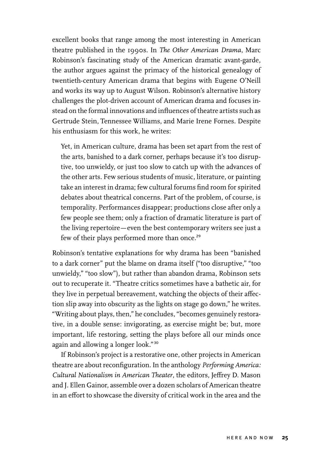excellent books that range among the most interesting in American theatre published in the 1990s. In The Other American Drama, Marc Robinson's fascinating study of the American dramatic avant-garde, the author argues against the primacy of the historical genealogy of twentieth-century American drama that begins with Eugene O'Neill and works its way up to August Wilson. Robinson's alternative history challenges the plot-driven account of American drama and focuses instead on the formal innovations and influences of theatre artists such as Gertrude Stein, Tennessee Williams, and Marie Irene Fornes. Despite his enthusiasm for this work, he writes:

Yet, in American culture, drama has been set apart from the rest of the arts, banished to a dark corner, perhaps because it's too disruptive, too unwieldy, or just too slow to catch up with the advances of the other arts. Few serious students of music, literature, or painting take an interest in drama; few cultural forums find room for spirited debates about theatrical concerns. Part of the problem, of course, is temporality. Performances disappear; productions close after only a few people see them; only a fraction of dramatic literature is part of the living repertoire—even the best contemporary writers see just a few of their plays performed more than once.<sup>29</sup>

Robinson's tentative explanations for why drama has been ''banished to a dark corner'' put the blame on drama itself (''too disruptive,'' ''too unwieldy," "too slow"), but rather than abandon drama, Robinson sets out to recuperate it. ''Theatre critics sometimes have a bathetic air, for they live in perpetual bereavement, watching the objects of their affection slip away into obscurity as the lights on stage go down,'' he writes. ''Writing about plays, then,'' he concludes, ''becomes genuinely restorative, in a double sense: invigorating, as exercise might be; but, more important, life restoring, setting the plays before all our minds once again and allowing a longer look."<sup>30</sup>

If Robinson's project is a restorative one, other projects in American theatre are about reconfiguration. In the anthology Performing America: Cultural Nationalism in American Theater, the editors, Jeffrey D. Mason and J. Ellen Gainor, assemble over a dozen scholars of American theatre in an effort to showcase the diversity of critical work in the area and the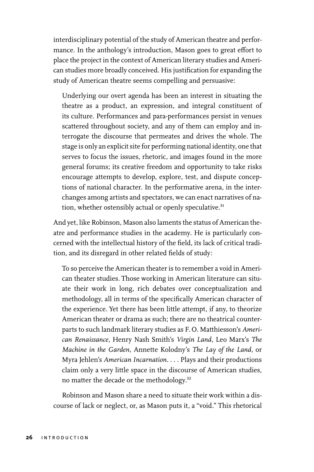interdisciplinary potential of the study of American theatre and performance. In the anthology's introduction, Mason goes to great effort to place the project in the context of American literary studies and American studies more broadly conceived. His justification for expanding the study of American theatre seems compelling and persuasive:

Underlying our overt agenda has been an interest in situating the theatre as a product, an expression, and integral constituent of its culture. Performances and para-performances persist in venues scattered throughout society, and any of them can employ and interrogate the discourse that permeates and drives the whole. The stage is only an explicit site for performing national identity, one that serves to focus the issues, rhetoric, and images found in the more general forums; its creative freedom and opportunity to take risks encourage attempts to develop, explore, test, and dispute conceptions of national character. In the performative arena, in the interchanges among artists and spectators, we can enact narratives of nation, whether ostensibly actual or openly speculative.<sup>31</sup>

And yet, like Robinson, Mason also laments the status of American theatre and performance studies in the academy. He is particularly concerned with the intellectual history of the field, its lack of critical tradition, and its disregard in other related fields of study:

To so perceive the American theater is to remember a void in American theater studies. Those working in American literature can situate their work in long, rich debates over conceptualization and methodology, all in terms of the specifically American character of the experience. Yet there has been little attempt, if any, to theorize American theater or drama as such; there are no theatrical counterparts to such landmark literary studies as F. O. Matthiesson's American Renaissance, Henry Nash Smith's Virgin Land, Leo Marx's The Machine in the Garden, Annette Kolodny's The Lay of the Land, or Myra Jehlen's American Incarnation....Plays and their productions claim only a very little space in the discourse of American studies, no matter the decade or the methodology.<sup>32</sup>

Robinson and Mason share a need to situate their work within a discourse of lack or neglect, or, as Mason puts it, a ''void.'' This rhetorical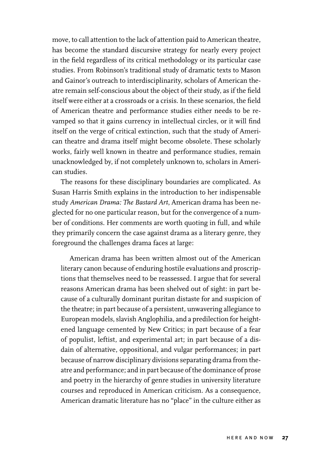move, to call attention to the lack of attention paid to American theatre, has become the standard discursive strategy for nearly every project in the field regardless of its critical methodology or its particular case studies. From Robinson's traditional study of dramatic texts to Mason and Gainor's outreach to interdisciplinarity, scholars of American theatre remain self-conscious about the object of their study, as if the field itself were either at a crossroads or a crisis. In these scenarios, the field of American theatre and performance studies either needs to be revamped so that it gains currency in intellectual circles, or it will find itself on the verge of critical extinction, such that the study of American theatre and drama itself might become obsolete. These scholarly works, fairly well known in theatre and performance studies, remain unacknowledged by, if not completely unknown to, scholars in American studies.

The reasons for these disciplinary boundaries are complicated. As Susan Harris Smith explains in the introduction to her indispensable study American Drama: The Bastard Art, American drama has been neglected for no one particular reason, but for the convergence of a number of conditions. Her comments are worth quoting in full, and while they primarily concern the case against drama as a literary genre, they foreground the challenges drama faces at large:

American drama has been written almost out of the American literary canon because of enduring hostile evaluations and proscriptions that themselves need to be reassessed. I argue that for several reasons American drama has been shelved out of sight: in part because of a culturally dominant puritan distaste for and suspicion of the theatre; in part because of a persistent, unwavering allegiance to European models, slavish Anglophilia, and a predilection for heightened language cemented by New Critics; in part because of a fear of populist, leftist, and experimental art; in part because of a disdain of alternative, oppositional, and vulgar performances; in part because of narrow disciplinary divisions separating drama from theatre and performance; and in part because of the dominance of prose and poetry in the hierarchy of genre studies in university literature courses and reproduced in American criticism. As a consequence, American dramatic literature has no "place" in the culture either as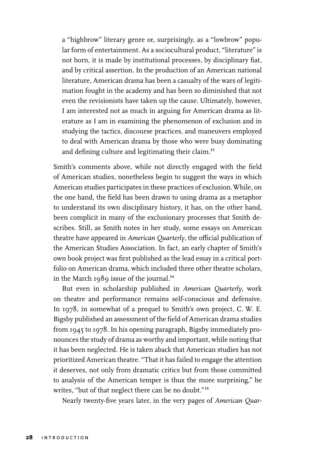a "highbrow" literary genre or, surprisingly, as a "lowbrow" popular form of entertainment. As a sociocultural product, "literature" is not born, it is made by institutional processes, by disciplinary fiat, and by critical assertion. In the production of an American national literature, American drama has been a casualty of the wars of legitimation fought in the academy and has been so diminished that not even the revisionists have taken up the cause. Ultimately, however, I am interested not as much in arguing for American drama as literature as I am in examining the phenomenon of exclusion and in studying the tactics, discourse practices, and maneuvers employed to deal with American drama by those who were busy dominating and defining culture and legitimating their claim.<sup>33</sup>

Smith's comments above, while not directly engaged with the field of American studies, nonetheless begin to suggest the ways in which American studies participates in these practices of exclusion.While, on the one hand, the field has been drawn to using drama as a metaphor to understand its own disciplinary history, it has, on the other hand, been complicit in many of the exclusionary processes that Smith describes. Still, as Smith notes in her study, some essays on American theatre have appeared in American Quarterly, the official publication of the American Studies Association. In fact, an early chapter of Smith's own book project was first published as the lead essay in a critical portfolio on American drama, which included three other theatre scholars, in the March 1989 issue of the journal.<sup>34</sup>

But even in scholarship published in American Quarterly, work on theatre and performance remains self-conscious and defensive. In 1978, in somewhat of a prequel to Smith's own project, C. W. E. Bigsby published an assessment of the field of American drama studies from 1945 to 1978. In his opening paragraph, Bigsby immediately pronounces the study of drama as worthy and important, while noting that it has been neglected. He is taken aback that American studies has not prioritized American theatre. ''That it has failed to engage the attention it deserves, not only from dramatic critics but from those committed to analysis of the American temper is thus the more surprising,'' he writes, "but of that neglect there can be no doubt."<sup>35</sup>

Nearly twenty-five years later, in the very pages of American Quar-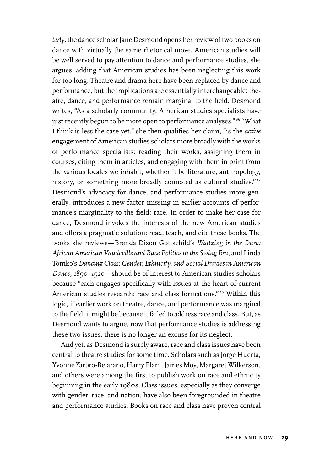terly, the dance scholar Jane Desmond opens her review of two books on dance with virtually the same rhetorical move. American studies will be well served to pay attention to dance and performance studies, she argues, adding that American studies has been neglecting this work for too long. Theatre and drama here have been replaced by dance and performance, but the implications are essentially interchangeable: theatre, dance, and performance remain marginal to the field. Desmond writes, "As a scholarly community, American studies specialists have just recently begun to be more open to performance analyses."<sup>36</sup> "What I think is less the case yet," she then qualifies her claim, "is the *active* engagement of American studies scholars more broadly with the works of performance specialists: reading their works, assigning them in courses, citing them in articles, and engaging with them in print from the various locales we inhabit, whether it be literature, anthropology, history, or something more broadly connoted as cultural studies."<sup>37</sup> Desmond's advocacy for dance, and performance studies more generally, introduces a new factor missing in earlier accounts of performance's marginality to the field: race. In order to make her case for dance, Desmond invokes the interests of the new American studies and offers a pragmatic solution: read, teach, and cite these books. The books she reviews—Brenda Dixon Gottschild's Waltzing in the Dark: African American Vaudeville and Race Politics in the Swing Era, and Linda Tomko's Dancing Class: Gender, Ethnicity, and Social Divides in American Dance, 1890–1920—should be of interest to American studies scholars because ''each engages specifically with issues at the heart of current American studies research: race and class formations.''38 Within this logic, if earlier work on theatre, dance, and performance was marginal to the field, it might be because it failed to address race and class. But, as Desmond wants to argue, now that performance studies is addressing these two issues, there is no longer an excuse for its neglect.

And yet, as Desmond is surely aware, race and class issues have been central to theatre studies for some time. Scholars such as Jorge Huerta, Yvonne Yarbro-Bejarano, Harry Elam, James Moy, Margaret Wilkerson, and others were among the first to publish work on race and ethnicity beginning in the early 1980s. Class issues, especially as they converge with gender, race, and nation, have also been foregrounded in theatre and performance studies. Books on race and class have proven central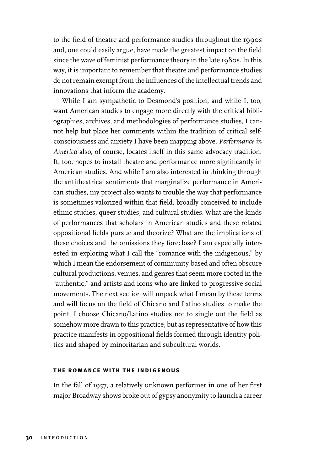to the field of theatre and performance studies throughout the 1990s and, one could easily argue, have made the greatest impact on the field since the wave of feminist performance theory in the late 1980s. In this way, it is important to remember that theatre and performance studies do not remain exempt from the influences of the intellectual trends and innovations that inform the academy.

While I am sympathetic to Desmond's position, and while I, too, want American studies to engage more directly with the critical bibliographies, archives, and methodologies of performance studies, I cannot help but place her comments within the tradition of critical selfconsciousness and anxiety I have been mapping above. Performance in America also, of course, locates itself in this same advocacy tradition. It, too, hopes to install theatre and performance more significantly in American studies. And while I am also interested in thinking through the antitheatrical sentiments that marginalize performance in American studies, my project also wants to trouble the way that performance is sometimes valorized within that field, broadly conceived to include ethnic studies, queer studies, and cultural studies. What are the kinds of performances that scholars in American studies and these related oppositional fields pursue and theorize? What are the implications of these choices and the omissions they foreclose? I am especially interested in exploring what I call the "romance with the indigenous," by which I mean the endorsement of community-based and often obscure cultural productions, venues, and genres that seem more rooted in the "authentic," and artists and icons who are linked to progressive social movements. The next section will unpack what I mean by these terms and will focus on the field of Chicano and Latino studies to make the point. I choose Chicano/Latino studies not to single out the field as somehow more drawn to this practice, but as representative of how this practice manifests in oppositional fields formed through identity politics and shaped by minoritarian and subcultural worlds.

## the romance with the indigenous

In the fall of 1957, a relatively unknown performer in one of her first major Broadway shows broke out of gypsy anonymity to launch a career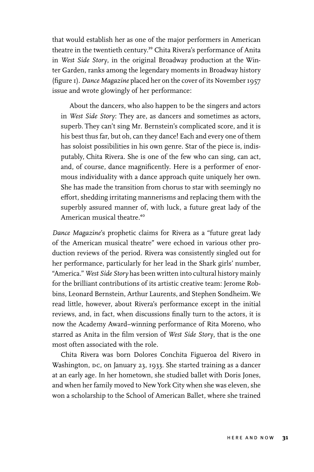that would establish her as one of the major performers in American theatre in the twentieth century.<sup>39</sup> Chita Rivera's performance of Anita in West Side Story, in the original Broadway production at the Winter Garden, ranks among the legendary moments in Broadway history (figure 1). Dance Magazine placed her on the cover of its November 1957 issue and wrote glowingly of her performance:

About the dancers, who also happen to be the singers and actors in West Side Story: They are, as dancers and sometimes as actors, superb. They can't sing Mr. Bernstein's complicated score, and it is his best thus far, but oh, can they dance! Each and every one of them has soloist possibilities in his own genre. Star of the piece is, indisputably, Chita Rivera. She is one of the few who can sing, can act, and, of course, dance magnificently. Here is a performer of enormous individuality with a dance approach quite uniquely her own. She has made the transition from chorus to star with seemingly no effort, shedding irritating mannerisms and replacing them with the superbly assured manner of, with luck, a future great lady of the American musical theatre.<sup>40</sup>

Dance Magazine's prophetic claims for Rivera as a ''future great lady of the American musical theatre'' were echoed in various other production reviews of the period. Rivera was consistently singled out for her performance, particularly for her lead in the Shark girls' number, "America." West Side Story has been written into cultural history mainly for the brilliant contributions of its artistic creative team: Jerome Robbins, Leonard Bernstein, Arthur Laurents, and Stephen Sondheim.We read little, however, about Rivera's performance except in the initial reviews, and, in fact, when discussions finally turn to the actors, it is now the Academy Award–winning performance of Rita Moreno, who starred as Anita in the film version of West Side Story, that is the one most often associated with the role.

Chita Rivera was born Dolores Conchita Figueroa del Rivero in Washington, DC, on January 23, 1933. She started training as a dancer at an early age. In her hometown, she studied ballet with Doris Jones, and when her family moved to New York City when she was eleven, she won a scholarship to the School of American Ballet, where she trained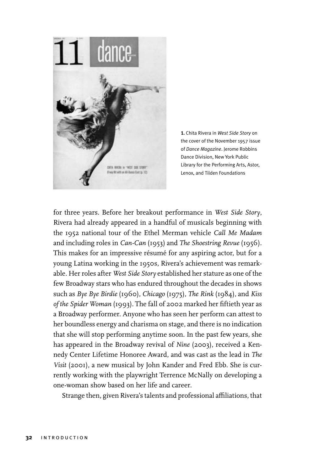

1. Chita Rivera in West Side Story on the cover of the November 1957 issue of Dance Magazine. Jerome Robbins Dance Division, New York Public Library for the Performing Arts, Astor, Lenox, and Tilden Foundations

for three years. Before her breakout performance in West Side Story, Rivera had already appeared in a handful of musicals beginning with the 1952 national tour of the Ethel Merman vehicle Call Me Madam and including roles in Can-Can (1953) and The Shoestring Revue (1956). This makes for an impressive résumé for any aspiring actor, but for a young Latina working in the 1950s, Rivera's achievement was remarkable. Her roles after West Side Story established her stature as one of the few Broadway stars who has endured throughout the decades in shows such as Bye Bye Birdie (1960), Chicago (1975), The Rink (1984), and Kiss of the Spider Woman (1993). The fall of 2002 marked her fiftieth year as a Broadway performer. Anyone who has seen her perform can attest to her boundless energy and charisma on stage, and there is no indication that she will stop performing anytime soon. In the past few years, she has appeared in the Broadway revival of Nine (2003), received a Kennedy Center Lifetime Honoree Award, and was cast as the lead in The Visit (2001), a new musical by John Kander and Fred Ebb. She is currently working with the playwright Terrence McNally on developing a one-woman show based on her life and career.

Strange then, given Rivera's talents and professional affiliations, that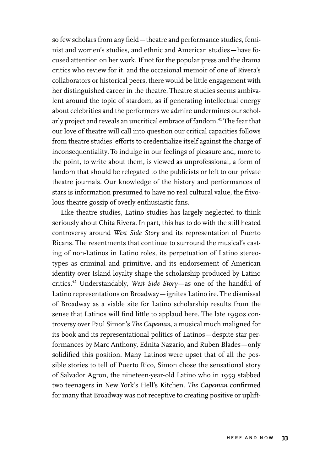so few scholars from any field—theatre and performance studies, feminist and women's studies, and ethnic and American studies—have focused attention on her work. If not for the popular press and the drama critics who review for it, and the occasional memoir of one of Rivera's collaborators or historical peers, there would be little engagement with her distinguished career in the theatre. Theatre studies seems ambivalent around the topic of stardom, as if generating intellectual energy about celebrities and the performers we admire undermines our scholarly project and reveals an uncritical embrace of fandom.<sup>41</sup> The fear that our love of theatre will call into question our critical capacities follows from theatre studies' efforts to credentialize itself against the charge of inconsequentiality. To indulge in our feelings of pleasure and, more to the point, to write about them, is viewed as unprofessional, a form of fandom that should be relegated to the publicists or left to our private theatre journals. Our knowledge of the history and performances of stars is information presumed to have no real cultural value, the frivolous theatre gossip of overly enthusiastic fans.

Like theatre studies, Latino studies has largely neglected to think seriously about Chita Rivera. In part, this has to do with the still heated controversy around West Side Story and its representation of Puerto Ricans. The resentments that continue to surround the musical's casting of non-Latinos in Latino roles, its perpetuation of Latino stereotypes as criminal and primitive, and its endorsement of American identity over Island loyalty shape the scholarship produced by Latino critics.<sup>42</sup> Understandably, West Side Story-as one of the handful of Latino representations on Broadway—ignites Latino ire. The dismissal of Broadway as a viable site for Latino scholarship results from the sense that Latinos will find little to applaud here. The late 1990s controversy over Paul Simon's The Capeman, a musical much maligned for its book and its representational politics of Latinos—despite star performances by Marc Anthony, Ednita Nazario, and Ruben Blades—only solidified this position. Many Latinos were upset that of all the possible stories to tell of Puerto Rico, Simon chose the sensational story of Salvador Agron, the nineteen-year-old Latino who in 1959 stabbed two teenagers in New York's Hell's Kitchen. The Capeman confirmed for many that Broadway was not receptive to creating positive or uplift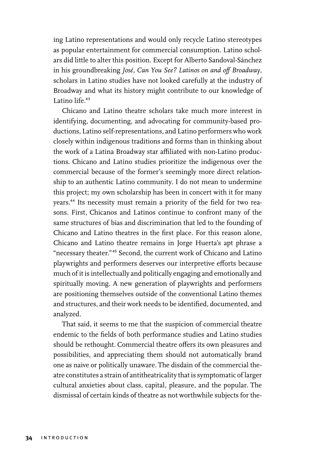ing Latino representations and would only recycle Latino stereotypes as popular entertainment for commercial consumption. Latino scholars did little to alter this position. Except for Alberto Sandoval-Sánchez in his groundbreaking José, Can You See? Latinos on and off Broadway, scholars in Latino studies have not looked carefully at the industry of Broadway and what its history might contribute to our knowledge of Latino life.<sup>43</sup>

Chicano and Latino theatre scholars take much more interest in identifying, documenting, and advocating for community-based productions, Latino self-representations, and Latino performers who work closely within indigenous traditions and forms than in thinking about the work of a Latina Broadway star affiliated with non-Latino productions. Chicano and Latino studies prioritize the indigenous over the commercial because of the former's seemingly more direct relationship to an authentic Latino community. I do not mean to undermine this project; my own scholarship has been in concert with it for many years.44 Its necessity must remain a priority of the field for two reasons. First, Chicanos and Latinos continue to confront many of the same structures of bias and discrimination that led to the founding of Chicano and Latino theatres in the first place. For this reason alone, Chicano and Latino theatre remains in Jorge Huerta's apt phrase a "necessary theater."<sup>45</sup> Second, the current work of Chicano and Latino playwrights and performers deserves our interpretive efforts because much of it is intellectually and politically engaging and emotionally and spiritually moving. A new generation of playwrights and performers are positioning themselves outside of the conventional Latino themes and structures, and their work needs to be identified, documented, and analyzed.

That said, it seems to me that the suspicion of commercial theatre endemic to the fields of both performance studies and Latino studies should be rethought. Commercial theatre offers its own pleasures and possibilities, and appreciating them should not automatically brand one as naive or politically unaware. The disdain of the commercial theatre constitutes a strain of antitheatricality that is symptomatic of larger cultural anxieties about class, capital, pleasure, and the popular. The dismissal of certain kinds of theatre as not worthwhile subjects for the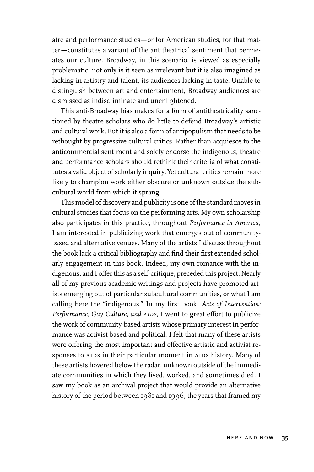atre and performance studies—or for American studies, for that matter—constitutes a variant of the antitheatrical sentiment that permeates our culture. Broadway, in this scenario, is viewed as especially problematic; not only is it seen as irrelevant but it is also imagined as lacking in artistry and talent, its audiences lacking in taste. Unable to distinguish between art and entertainment, Broadway audiences are dismissed as indiscriminate and unenlightened.

This anti-Broadway bias makes for a form of antitheatricality sanctioned by theatre scholars who do little to defend Broadway's artistic and cultural work. But it is also a form of antipopulism that needs to be rethought by progressive cultural critics. Rather than acquiesce to the anticommercial sentiment and solely endorse the indigenous, theatre and performance scholars should rethink their criteria of what constitutes a valid object of scholarly inquiry.Yet cultural critics remain more likely to champion work either obscure or unknown outside the subcultural world from which it sprang.

This model of discovery and publicity is one of the standard moves in cultural studies that focus on the performing arts. My own scholarship also participates in this practice; throughout Performance in America, I am interested in publicizing work that emerges out of communitybased and alternative venues. Many of the artists I discuss throughout the book lack a critical bibliography and find their first extended scholarly engagement in this book. Indeed, my own romance with the indigenous, and I offer this as a self-critique, preceded this project. Nearly all of my previous academic writings and projects have promoted artists emerging out of particular subcultural communities, or what I am calling here the ''indigenous.'' In my first book, Acts of Intervention: Performance, Gay Culture, and AIDS, I went to great effort to publicize the work of community-based artists whose primary interest in performance was activist based and political. I felt that many of these artists were offering the most important and effective artistic and activist responses to AIDS in their particular moment in AIDS history. Many of these artists hovered below the radar, unknown outside of the immediate communities in which they lived, worked, and sometimes died. I saw my book as an archival project that would provide an alternative history of the period between 1981 and 1996, the years that framed my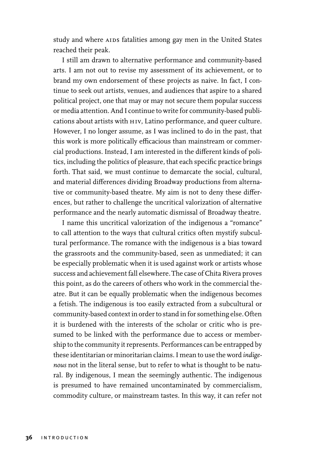study and where AIDS fatalities among gay men in the United States reached their peak.

I still am drawn to alternative performance and community-based arts. I am not out to revise my assessment of its achievement, or to brand my own endorsement of these projects as naive. In fact, I continue to seek out artists, venues, and audiences that aspire to a shared political project, one that may or may not secure them popular success or media attention. And I continue to write for community-based publications about artists with hiv, Latino performance, and queer culture. However, I no longer assume, as I was inclined to do in the past, that this work is more politically efficacious than mainstream or commercial productions. Instead, I am interested in the different kinds of politics, including the politics of pleasure, that each specific practice brings forth. That said, we must continue to demarcate the social, cultural, and material differences dividing Broadway productions from alternative or community-based theatre. My aim is not to deny these differences, but rather to challenge the uncritical valorization of alternative performance and the nearly automatic dismissal of Broadway theatre.

I name this uncritical valorization of the indigenous a ''romance'' to call attention to the ways that cultural critics often mystify subcultural performance. The romance with the indigenous is a bias toward the grassroots and the community-based, seen as unmediated; it can be especially problematic when it is used against work or artists whose success and achievement fall elsewhere.The case of Chita Rivera proves this point, as do the careers of others who work in the commercial theatre. But it can be equally problematic when the indigenous becomes a fetish. The indigenous is too easily extracted from a subcultural or community-based context in order to stand in for something else.Often it is burdened with the interests of the scholar or critic who is presumed to be linked with the performance due to access or membership to the community it represents. Performances can be entrapped by these identitarian or minoritarian claims. I mean to use the word indigenous not in the literal sense, but to refer to what is thought to be natural. By indigenous, I mean the seemingly authentic. The indigenous is presumed to have remained uncontaminated by commercialism, commodity culture, or mainstream tastes. In this way, it can refer not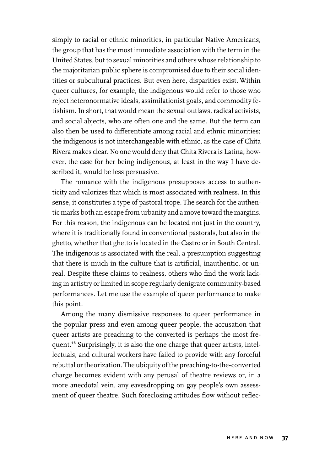simply to racial or ethnic minorities, in particular Native Americans, the group that has the most immediate association with the term in the United States, but to sexual minorities and others whose relationship to the majoritarian public sphere is compromised due to their social identities or subcultural practices. But even here, disparities exist. Within queer cultures, for example, the indigenous would refer to those who reject heteronormative ideals, assimilationist goals, and commodity fetishism. In short, that would mean the sexual outlaws, radical activists, and social abjects, who are often one and the same. But the term can also then be used to differentiate among racial and ethnic minorities; the indigenous is not interchangeable with ethnic, as the case of Chita Rivera makes clear. No one would deny that Chita Rivera is Latina; however, the case for her being indigenous, at least in the way I have described it, would be less persuasive.

The romance with the indigenous presupposes access to authenticity and valorizes that which is most associated with realness. In this sense, it constitutes a type of pastoral trope. The search for the authentic marks both an escape from urbanity and a move toward the margins. For this reason, the indigenous can be located not just in the country, where it is traditionally found in conventional pastorals, but also in the ghetto, whether that ghetto is located in the Castro or in South Central. The indigenous is associated with the real, a presumption suggesting that there is much in the culture that is artificial, inauthentic, or unreal. Despite these claims to realness, others who find the work lacking in artistry or limited in scope regularly denigrate community-based performances. Let me use the example of queer performance to make this point.

Among the many dismissive responses to queer performance in the popular press and even among queer people, the accusation that queer artists are preaching to the converted is perhaps the most frequent.46 Surprisingly, it is also the one charge that queer artists, intellectuals, and cultural workers have failed to provide with any forceful rebuttal or theorization.The ubiquity of the preaching-to-the-converted charge becomes evident with any perusal of theatre reviews or, in a more anecdotal vein, any eavesdropping on gay people's own assessment of queer theatre. Such foreclosing attitudes flow without reflec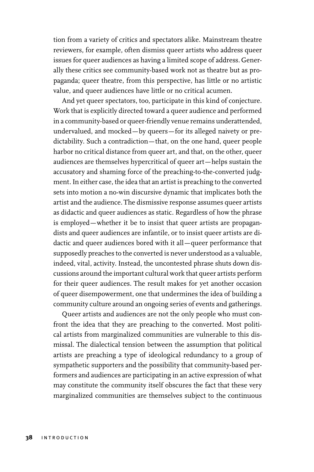tion from a variety of critics and spectators alike. Mainstream theatre reviewers, for example, often dismiss queer artists who address queer issues for queer audiences as having a limited scope of address. Generally these critics see community-based work not as theatre but as propaganda; queer theatre, from this perspective, has little or no artistic value, and queer audiences have little or no critical acumen.

And yet queer spectators, too, participate in this kind of conjecture. Work that is explicitly directed toward a queer audience and performed in a community-based or queer-friendly venue remains underattended, undervalued, and mocked—by queers—for its alleged naivety or predictability. Such a contradiction—that, on the one hand, queer people harbor no critical distance from queer art, and that, on the other, queer audiences are themselves hypercritical of queer art—helps sustain the accusatory and shaming force of the preaching-to-the-converted judgment. In either case, the idea that an artist is preaching to the converted sets into motion a no-win discursive dynamic that implicates both the artist and the audience. The dismissive response assumes queer artists as didactic and queer audiences as static. Regardless of how the phrase is employed—whether it be to insist that queer artists are propagandists and queer audiences are infantile, or to insist queer artists are didactic and queer audiences bored with it all—queer performance that supposedly preaches to the converted is never understood as a valuable, indeed, vital, activity. Instead, the uncontested phrase shuts down discussions around the important cultural work that queer artists perform for their queer audiences. The result makes for yet another occasion of queer disempowerment, one that undermines the idea of building a community culture around an ongoing series of events and gatherings.

Queer artists and audiences are not the only people who must confront the idea that they are preaching to the converted. Most political artists from marginalized communities are vulnerable to this dismissal. The dialectical tension between the assumption that political artists are preaching a type of ideological redundancy to a group of sympathetic supporters and the possibility that community-based performers and audiences are participating in an active expression of what may constitute the community itself obscures the fact that these very marginalized communities are themselves subject to the continuous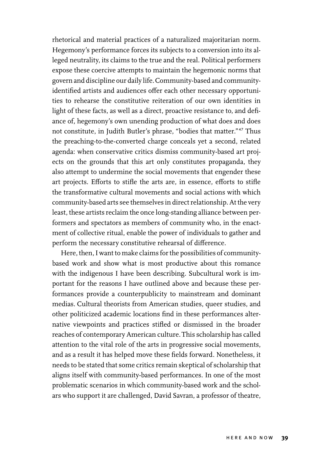rhetorical and material practices of a naturalized majoritarian norm. Hegemony's performance forces its subjects to a conversion into its alleged neutrality, its claims to the true and the real. Political performers expose these coercive attempts to maintain the hegemonic norms that govern and discipline our daily life.Community-based and communityidentified artists and audiences offer each other necessary opportunities to rehearse the constitutive reiteration of our own identities in light of these facts, as well as a direct, proactive resistance to, and defiance of, hegemony's own unending production of what does and does not constitute, in Judith Butler's phrase, "bodies that matter."<sup>47</sup> Thus the preaching-to-the-converted charge conceals yet a second, related agenda: when conservative critics dismiss community-based art projects on the grounds that this art only constitutes propaganda, they also attempt to undermine the social movements that engender these art projects. Efforts to stifle the arts are, in essence, efforts to stifle the transformative cultural movements and social actions with which community-based arts see themselves in direct relationship. At the very least, these artists reclaim the once long-standing alliance between performers and spectators as members of community who, in the enactment of collective ritual, enable the power of individuals to gather and perform the necessary constitutive rehearsal of difference.

Here, then, I want to make claims for the possibilities of communitybased work and show what is most productive about this romance with the indigenous I have been describing. Subcultural work is important for the reasons I have outlined above and because these performances provide a counterpublicity to mainstream and dominant medias. Cultural theorists from American studies, queer studies, and other politicized academic locations find in these performances alternative viewpoints and practices stifled or dismissed in the broader reaches of contemporary American culture. This scholarship has called attention to the vital role of the arts in progressive social movements, and as a result it has helped move these fields forward. Nonetheless, it needs to be stated that some critics remain skeptical of scholarship that aligns itself with community-based performances. In one of the most problematic scenarios in which community-based work and the scholars who support it are challenged, David Savran, a professor of theatre,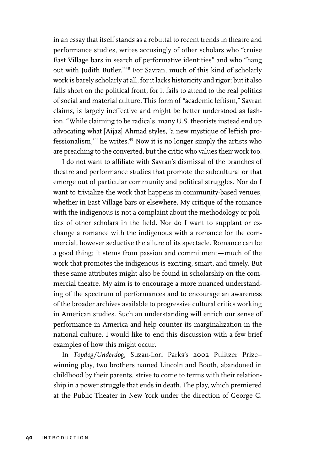in an essay that itself stands as a rebuttal to recent trends in theatre and performance studies, writes accusingly of other scholars who ''cruise East Village bars in search of performative identities'' and who ''hang out with Judith Butler."<sup>48</sup> For Savran, much of this kind of scholarly work is barely scholarly at all, for it lacks historicity and rigor; but it also falls short on the political front, for it fails to attend to the real politics of social and material culture. This form of ''academic leftism,'' Savran claims, is largely ineffective and might be better understood as fashion. ''While claiming to be radicals, many U.S. theorists instead end up advocating what [Aijaz] Ahmad styles, 'a new mystique of leftish professionalism,'" he writes.<sup>49</sup> Now it is no longer simply the artists who are preaching to the converted, but the critic who values their work too.

I do not want to affiliate with Savran's dismissal of the branches of theatre and performance studies that promote the subcultural or that emerge out of particular community and political struggles. Nor do I want to trivialize the work that happens in community-based venues, whether in East Village bars or elsewhere. My critique of the romance with the indigenous is not a complaint about the methodology or politics of other scholars in the field. Nor do I want to supplant or exchange a romance with the indigenous with a romance for the commercial, however seductive the allure of its spectacle. Romance can be a good thing; it stems from passion and commitment—much of the work that promotes the indigenous is exciting, smart, and timely. But these same attributes might also be found in scholarship on the commercial theatre. My aim is to encourage a more nuanced understanding of the spectrum of performances and to encourage an awareness of the broader archives available to progressive cultural critics working in American studies. Such an understanding will enrich our sense of performance in America and help counter its marginalization in the national culture. I would like to end this discussion with a few brief examples of how this might occur.

In Topdog/Underdog, Suzan-Lori Parks's 2002 Pulitzer Prize– winning play, two brothers named Lincoln and Booth, abandoned in childhood by their parents, strive to come to terms with their relationship in a power struggle that ends in death. The play, which premiered at the Public Theater in New York under the direction of George C.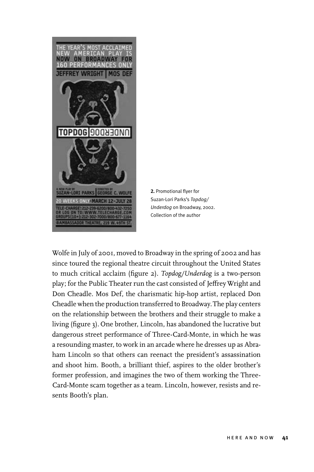

2. Promotional flyer for Suzan-Lori Parks's Topdog/ Underdog on Broadway, 2002. Collection of the author

Wolfe in July of 2001, moved to Broadway in the spring of 2002 and has since toured the regional theatre circuit throughout the United States to much critical acclaim (figure 2). Topdog/Underdog is a two-person play; for the Public Theater run the cast consisted of Jeffrey Wright and Don Cheadle. Mos Def, the charismatic hip-hop artist, replaced Don Cheadle when the production transferred to Broadway.The play centers on the relationship between the brothers and their struggle to make a living (figure 3). One brother, Lincoln, has abandoned the lucrative but dangerous street performance of Three-Card-Monte, in which he was a resounding master, to work in an arcade where he dresses up as Abraham Lincoln so that others can reenact the president's assassination and shoot him. Booth, a brilliant thief, aspires to the older brother's former profession, and imagines the two of them working the Three-Card-Monte scam together as a team. Lincoln, however, resists and resents Booth's plan.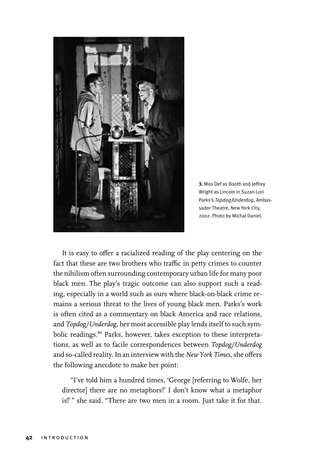

3. Mos Def as Booth and Jeffrey Wright as Lincoln in Suzan-Lori Parks's Topdog/Underdog, Ambassador Theatre, New York City, 2002. Photo by Michal Daniel.

It is easy to offer a racialized reading of the play centering on the fact that these are two brothers who traffic in petty crimes to counter the nihilism often surrounding contemporary urban life for many poor black men. The play's tragic outcome can also support such a reading, especially in a world such as ours where black-on-black crime remains a serious threat to the lives of young black men. Parks's work is often cited as a commentary on black America and race relations, and Topdog/Underdog, her most accessible play lends itself to such symbolic readings.<sup>50</sup> Parks, however, takes exception to these interpretations, as well as to facile correspondences between Topdog/Underdog and so-called reality. In an interview with the New York Times, she offers the following anecdote to make her point:

''I've told him a hundred times, 'George [referring to Wolfe, her director] there are no metaphors!' I don't know what a metaphor is!'" she said. "There are two men in a room. Just take it for that.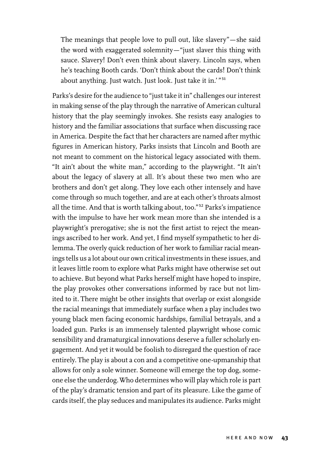The meanings that people love to pull out, like slavery"—she said the word with exaggerated solemnity—''just slaver this thing with sauce. Slavery! Don't even think about slavery. Lincoln says, when he's teaching Booth cards. 'Don't think about the cards! Don't think about anything. Just watch. Just look. Just take it in.'"<sup>51</sup>

Parks's desire for the audience to "just take it in" challenges our interest in making sense of the play through the narrative of American cultural history that the play seemingly invokes. She resists easy analogies to history and the familiar associations that surface when discussing race in America. Despite the fact that her characters are named after mythic figures in American history, Parks insists that Lincoln and Booth are not meant to comment on the historical legacy associated with them. ''It ain't about the white man,'' according to the playwright. ''It ain't about the legacy of slavery at all. It's about these two men who are brothers and don't get along. They love each other intensely and have come through so much together, and are at each other's throats almost all the time. And that is worth talking about, too."<sup>52</sup> Parks's impatience with the impulse to have her work mean more than she intended is a playwright's prerogative; she is not the first artist to reject the meanings ascribed to her work. And yet, I find myself sympathetic to her dilemma. The overly quick reduction of her work to familiar racial meanings tells us a lot about our own critical investments in these issues, and it leaves little room to explore what Parks might have otherwise set out to achieve. But beyond what Parks herself might have hoped to inspire, the play provokes other conversations informed by race but not limited to it. There might be other insights that overlap or exist alongside the racial meanings that immediately surface when a play includes two young black men facing economic hardships, familial betrayals, and a loaded gun. Parks is an immensely talented playwright whose comic sensibility and dramaturgical innovations deserve a fuller scholarly engagement. And yet it would be foolish to disregard the question of race entirely. The play is about a con and a competitive one-upmanship that allows for only a sole winner. Someone will emerge the top dog, someone else the underdog.Who determines who will play which role is part of the play's dramatic tension and part of its pleasure. Like the game of cards itself, the play seduces and manipulates its audience. Parks might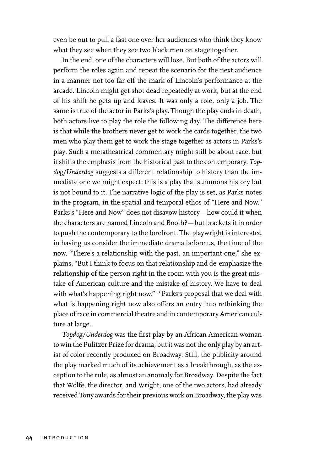even be out to pull a fast one over her audiences who think they know what they see when they see two black men on stage together.

In the end, one of the characters will lose. But both of the actors will perform the roles again and repeat the scenario for the next audience in a manner not too far off the mark of Lincoln's performance at the arcade. Lincoln might get shot dead repeatedly at work, but at the end of his shift he gets up and leaves. It was only a role, only a job. The same is true of the actor in Parks's play. Though the play ends in death, both actors live to play the role the following day. The difference here is that while the brothers never get to work the cards together, the two men who play them get to work the stage together as actors in Parks's play. Such a metatheatrical commentary might still be about race, but it shifts the emphasis from the historical past to the contemporary. Topdog/Underdog suggests a different relationship to history than the immediate one we might expect: this is a play that summons history but is not bound to it. The narrative logic of the play is set, as Parks notes in the program, in the spatial and temporal ethos of ''Here and Now.'' Parks's "Here and Now" does not disavow history-how could it when the characters are named Lincoln and Booth?—but brackets it in order to push the contemporary to the forefront. The playwright is interested in having us consider the immediate drama before us, the time of the now. "There's a relationship with the past, an important one," she explains. ''But I think to focus on that relationship and de-emphasize the relationship of the person right in the room with you is the great mistake of American culture and the mistake of history. We have to deal with what's happening right now."<sup>53</sup> Parks's proposal that we deal with what is happening right now also offers an entry into rethinking the place of race in commercial theatre and in contemporary American culture at large.

Topdog/Underdog was the first play by an African American woman to win the Pulitzer Prize for drama, but it was not the only play by an artist of color recently produced on Broadway. Still, the publicity around the play marked much of its achievement as a breakthrough, as the exception to the rule, as almost an anomaly for Broadway. Despite the fact that Wolfe, the director, and Wright, one of the two actors, had already received Tony awards for their previous work on Broadway, the play was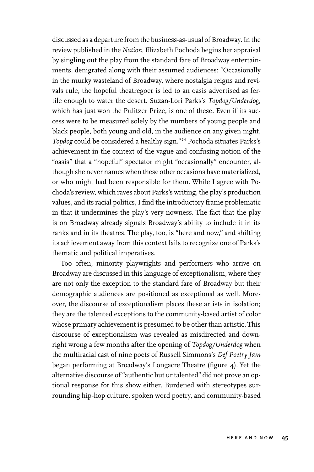discussed as a departure from the business-as-usual of Broadway. In the review published in the Nation, Elizabeth Pochoda begins her appraisal by singling out the play from the standard fare of Broadway entertainments, denigrated along with their assumed audiences: ''Occasionally in the murky wasteland of Broadway, where nostalgia reigns and revivals rule, the hopeful theatregoer is led to an oasis advertised as fertile enough to water the desert. Suzan-Lori Parks's Topdog/Underdog, which has just won the Pulitzer Prize, is one of these. Even if its success were to be measured solely by the numbers of young people and black people, both young and old, in the audience on any given night, Topdog could be considered a healthy sign."<sup>54</sup> Pochoda situates Parks's achievement in the context of the vague and confusing notion of the "oasis" that a "hopeful" spectator might "occasionally" encounter, although she never names when these other occasions have materialized, or who might had been responsible for them. While I agree with Pochoda's review, which raves about Parks's writing, the play's production values, and its racial politics, I find the introductory frame problematic in that it undermines the play's very nowness. The fact that the play is on Broadway already signals Broadway's ability to include it in its ranks and in its theatres. The play, too, is "here and now," and shifting its achievement away from this context fails to recognize one of Parks's thematic and political imperatives.

Too often, minority playwrights and performers who arrive on Broadway are discussed in this language of exceptionalism, where they are not only the exception to the standard fare of Broadway but their demographic audiences are positioned as exceptional as well. Moreover, the discourse of exceptionalism places these artists in isolation; they are the talented exceptions to the community-based artist of color whose primary achievement is presumed to be other than artistic. This discourse of exceptionalism was revealed as misdirected and downright wrong a few months after the opening of Topdog/Underdog when the multiracial cast of nine poets of Russell Simmons's Def Poetry Jam began performing at Broadway's Longacre Theatre (figure 4). Yet the alternative discourse of ''authentic but untalented'' did not prove an optional response for this show either. Burdened with stereotypes surrounding hip-hop culture, spoken word poetry, and community-based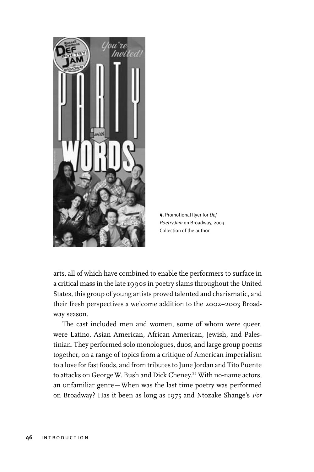

4. Promotional flyer for Def Poetry Jam on Broadway, 2003. Collection of the author

arts, all of which have combined to enable the performers to surface in a critical mass in the late 1990s in poetry slams throughout the United States, this group of young artists proved talented and charismatic, and their fresh perspectives a welcome addition to the 2002–2003 Broadway season.

The cast included men and women, some of whom were queer, were Latino, Asian American, African American, Jewish, and Palestinian. They performed solo monologues, duos, and large group poems together, on a range of topics from a critique of American imperialism to a love for fast foods, and from tributes to June Jordan and Tito Puente to attacks on George W. Bush and Dick Cheney.<sup>55</sup> With no-name actors, an unfamiliar genre—When was the last time poetry was performed on Broadway? Has it been as long as 1975 and Ntozake Shange's For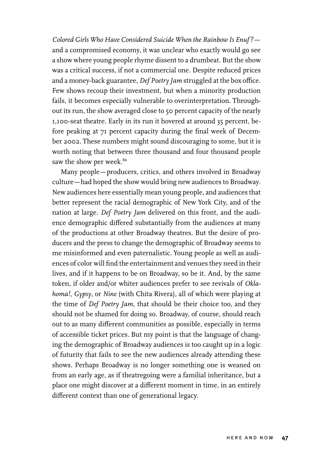Colored Girls Who Have Considered Suicide When the Rainbow Is Enuf? and a compromised economy, it was unclear who exactly would go see a show where young people rhyme dissent to a drumbeat. But the show was a critical success, if not a commercial one. Despite reduced prices and a money-back guarantee, Def Poetry Jam struggled at the box office. Few shows recoup their investment, but when a minority production fails, it becomes especially vulnerable to overinterpretation. Throughout its run, the show averaged close to 50 percent capacity of the nearly 1,100-seat theatre. Early in its run it hovered at around 35 percent, before peaking at 71 percent capacity during the final week of December 2002. These numbers might sound discouraging to some, but it is worth noting that between three thousand and four thousand people saw the show per week.<sup>56</sup>

Many people—producers, critics, and others involved in Broadway culture—had hoped the show would bring new audiences to Broadway. New audiences here essentially mean young people, and audiences that better represent the racial demographic of New York City, and of the nation at large. Def Poetry Jam delivered on this front, and the audience demographic differed substantially from the audiences at many of the productions at other Broadway theatres. But the desire of producers and the press to change the demographic of Broadway seems to me misinformed and even paternalistic. Young people as well as audiences of color will find the entertainment and venues they need in their lives, and if it happens to be on Broadway, so be it. And, by the same token, if older and/or whiter audiences prefer to see revivals of Oklahoma!, Gypsy, or Nine (with Chita Rivera), all of which were playing at the time of Def Poetry Jam, that should be their choice too, and they should not be shamed for doing so. Broadway, of course, should reach out to as many different communities as possible, especially in terms of accessible ticket prices. But my point is that the language of changing the demographic of Broadway audiences is too caught up in a logic of futurity that fails to see the new audiences already attending these shows. Perhaps Broadway is no longer something one is weaned on from an early age, as if theatregoing were a familial inheritance, but a place one might discover at a different moment in time, in an entirely different context than one of generational legacy.